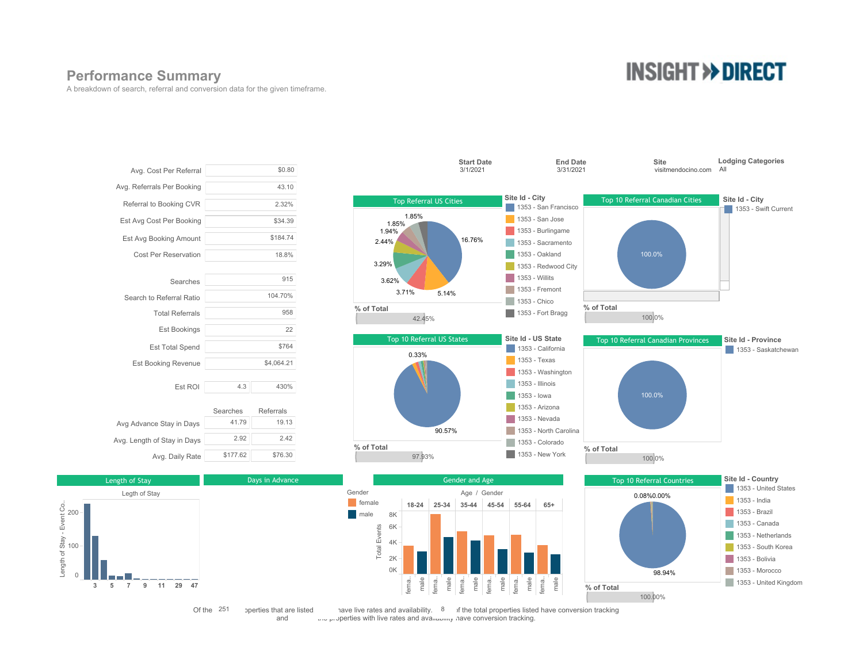### **Performance Summary**

A breakdown of search, referral and conversion data for the given timeframe.

## **INSIGHT >> DIRECT**







Of the  $251$  perties that are listed are live rates and availability.  $8$  if the total properties listed have conversion tracking and  $\alpha$   $\beta$  properties with live rates and availability have conversion tracking.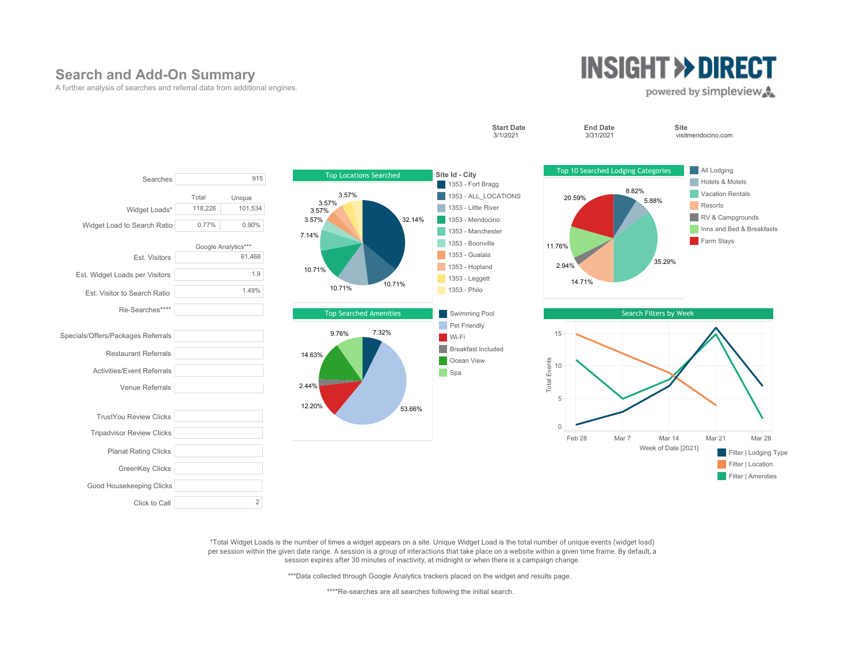### **Search and Add-On Summary**

A further analysis of searches and referral data from additional engines.

# **INSIGHT >> DIRECT**

#### powered by simpleview.



\*Total Widget Loads is the number of times a widget appears on a site. Unique Widget Load is the total number of unique events (widget load) per session within the given date range. A session is a group of interactions that take place on a website within a given time frame. By default, a session expires after 30 minutes of inactivity, at midnight or when there is a campaign change.

\*\*\*Data collected through Google Analytics trackers placed on the widget and results page.

\*\*\*\*Re-searches are all searches following the initial search.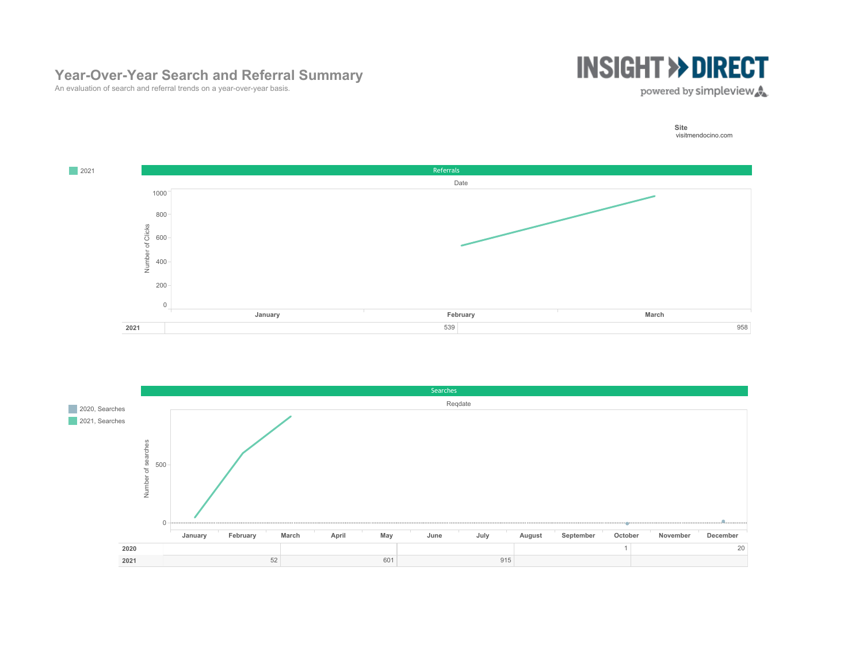### **Year-Over-Year Search and Referral Summary**



An evaluation of search and referral trends on a year-over-year basis.

**Site** visitmendocino.com